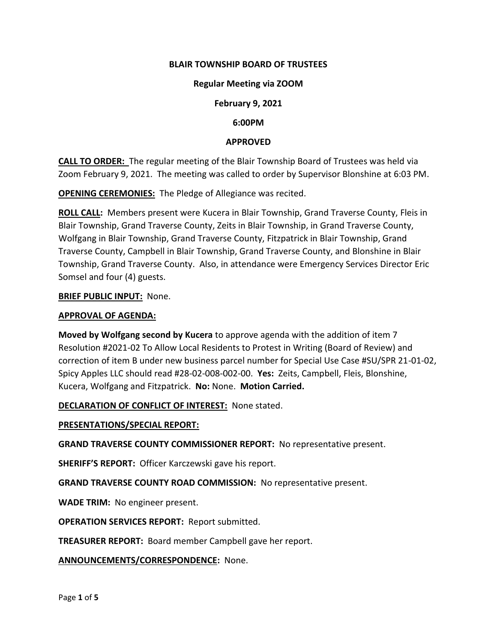### **BLAIR TOWNSHIP BOARD OF TRUSTEES**

#### **Regular Meeting via ZOOM**

#### **February 9, 2021**

#### **6:00PM**

#### **APPROVED**

**CALL TO ORDER:** The regular meeting of the Blair Township Board of Trustees was held via Zoom February 9, 2021. The meeting was called to order by Supervisor Blonshine at 6:03 PM.

**OPENING CEREMONIES:** The Pledge of Allegiance was recited.

**ROLL CALL:** Members present were Kucera in Blair Township, Grand Traverse County, Fleis in Blair Township, Grand Traverse County, Zeits in Blair Township, in Grand Traverse County, Wolfgang in Blair Township, Grand Traverse County, Fitzpatrick in Blair Township, Grand Traverse County, Campbell in Blair Township, Grand Traverse County, and Blonshine in Blair Township, Grand Traverse County. Also, in attendance were Emergency Services Director Eric Somsel and four (4) guests.

#### **BRIEF PUBLIC INPUT:** None.

#### **APPROVAL OF AGENDA:**

**Moved by Wolfgang second by Kucera** to approve agenda with the addition of item 7 Resolution #2021-02 To Allow Local Residents to Protest in Writing (Board of Review) and correction of item B under new business parcel number for Special Use Case #SU/SPR 21-01-02, Spicy Apples LLC should read #28-02-008-002-00. **Yes:** Zeits, Campbell, Fleis, Blonshine, Kucera, Wolfgang and Fitzpatrick. **No:** None. **Motion Carried.**

#### **DECLARATION OF CONFLICT OF INTEREST:** None stated.

#### **PRESENTATIONS/SPECIAL REPORT:**

**GRAND TRAVERSE COUNTY COMMISSIONER REPORT:** No representative present.

**SHERIFF'S REPORT:** Officer Karczewski gave his report.

**GRAND TRAVERSE COUNTY ROAD COMMISSION:** No representative present.

**WADE TRIM:** No engineer present.

**OPERATION SERVICES REPORT:** Report submitted.

**TREASURER REPORT:** Board member Campbell gave her report.

**ANNOUNCEMENTS/CORRESPONDENCE:** None.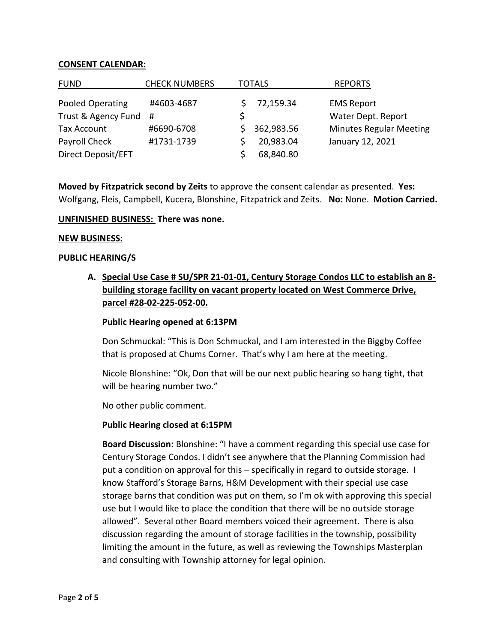### **CONSENT CALENDAR:**

| <b>FUND</b>           | <b>CHECK NUMBERS</b> | TOTALS |            | <b>REPORTS</b>                 |
|-----------------------|----------------------|--------|------------|--------------------------------|
| Pooled Operating      | #4603-4687           |        | 72,159.34  | <b>EMS Report</b>              |
| Trust & Agency Fund # |                      |        |            | Water Dept. Report             |
| Tax Account           | #6690-6708           |        | 362,983.56 | <b>Minutes Regular Meeting</b> |
| Payroll Check         | #1731-1739           |        | 20,983.04  | January 12, 2021               |
| Direct Deposit/EFT    |                      |        | 68,840.80  |                                |

**Moved by Fitzpatrick second by Zeits** to approve the consent calendar as presented. **Yes:**  Wolfgang, Fleis, Campbell, Kucera, Blonshine, Fitzpatrick and Zeits. **No:** None. **Motion Carried.**

#### **UNFINISHED BUSINESS: There was none.**

#### **NEW BUSINESS:**

#### **PUBLIC HEARING/S**

**A. Special Use Case # SU/SPR 21-01-01, Century Storage Condos LLC to establish an 8 building storage facility on vacant property located on West Commerce Drive, parcel #28-02-225-052-00.**

#### **Public Hearing opened at 6:13PM**

Don Schmuckal: "This is Don Schmuckal, and I am interested in the Biggby Coffee that is proposed at Chums Corner. That's why I am here at the meeting.

Nicole Blonshine: "Ok, Don that will be our next public hearing so hang tight, that will be hearing number two."

No other public comment.

#### **Public Hearing closed at 6:15PM**

**Board Discussion:** Blonshine: "I have a comment regarding this special use case for Century Storage Condos. I didn't see anywhere that the Planning Commission had put a condition on approval for this – specifically in regard to outside storage. I know Stafford's Storage Barns, H&M Development with their special use case storage barns that condition was put on them, so I'm ok with approving this special use but I would like to place the condition that there will be no outside storage allowed". Several other Board members voiced their agreement. There is also discussion regarding the amount of storage facilities in the township, possibility limiting the amount in the future, as well as reviewing the Townships Masterplan and consulting with Township attorney for legal opinion.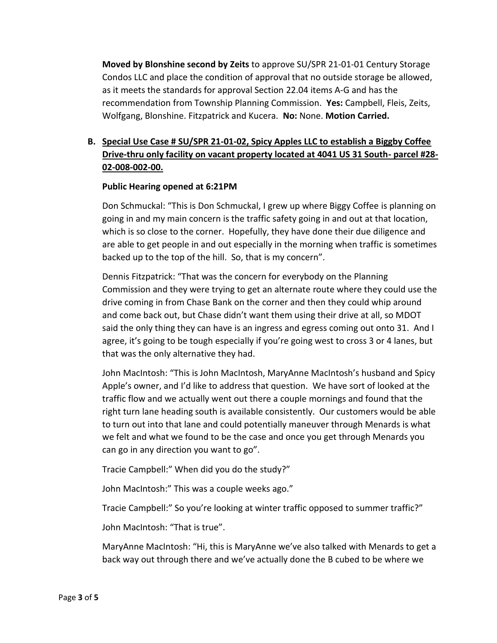**Moved by Blonshine second by Zeits** to approve SU/SPR 21-01-01 Century Storage Condos LLC and place the condition of approval that no outside storage be allowed, as it meets the standards for approval Section 22.04 items A-G and has the recommendation from Township Planning Commission. **Yes:** Campbell, Fleis, Zeits, Wolfgang, Blonshine. Fitzpatrick and Kucera. **No:** None. **Motion Carried.**

# **B. Special Use Case # SU/SPR 21-01-02, Spicy Apples LLC to establish a Biggby Coffee Drive-thru only facility on vacant property located at 4041 US 31 South- parcel #28- 02-008-002-00.**

### **Public Hearing opened at 6:21PM**

Don Schmuckal: "This is Don Schmuckal, I grew up where Biggy Coffee is planning on going in and my main concern is the traffic safety going in and out at that location, which is so close to the corner. Hopefully, they have done their due diligence and are able to get people in and out especially in the morning when traffic is sometimes backed up to the top of the hill. So, that is my concern".

Dennis Fitzpatrick: "That was the concern for everybody on the Planning Commission and they were trying to get an alternate route where they could use the drive coming in from Chase Bank on the corner and then they could whip around and come back out, but Chase didn't want them using their drive at all, so MDOT said the only thing they can have is an ingress and egress coming out onto 31. And I agree, it's going to be tough especially if you're going west to cross 3 or 4 lanes, but that was the only alternative they had.

John MacIntosh: "This is John MacIntosh, MaryAnne MacIntosh's husband and Spicy Apple's owner, and I'd like to address that question. We have sort of looked at the traffic flow and we actually went out there a couple mornings and found that the right turn lane heading south is available consistently. Our customers would be able to turn out into that lane and could potentially maneuver through Menards is what we felt and what we found to be the case and once you get through Menards you can go in any direction you want to go".

Tracie Campbell:" When did you do the study?"

John MacIntosh:" This was a couple weeks ago."

Tracie Campbell:" So you're looking at winter traffic opposed to summer traffic?"

John MacIntosh: "That is true".

MaryAnne MacIntosh: "Hi, this is MaryAnne we've also talked with Menards to get a back way out through there and we've actually done the B cubed to be where we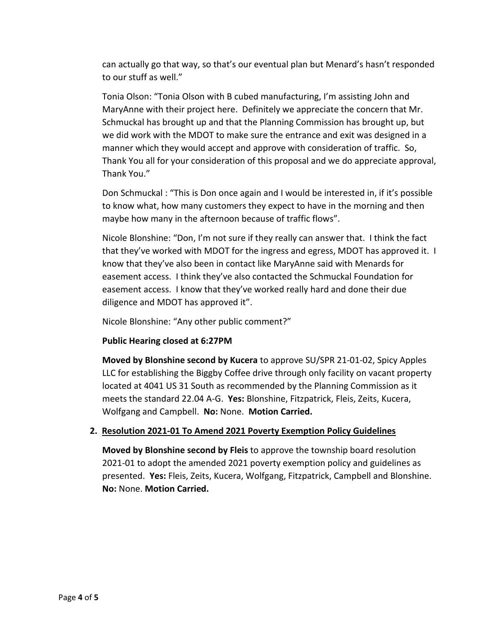can actually go that way, so that's our eventual plan but Menard's hasn't responded to our stuff as well."

Tonia Olson: "Tonia Olson with B cubed manufacturing, I'm assisting John and MaryAnne with their project here. Definitely we appreciate the concern that Mr. Schmuckal has brought up and that the Planning Commission has brought up, but we did work with the MDOT to make sure the entrance and exit was designed in a manner which they would accept and approve with consideration of traffic. So, Thank You all for your consideration of this proposal and we do appreciate approval, Thank You."

Don Schmuckal : "This is Don once again and I would be interested in, if it's possible to know what, how many customers they expect to have in the morning and then maybe how many in the afternoon because of traffic flows".

Nicole Blonshine: "Don, I'm not sure if they really can answer that. I think the fact that they've worked with MDOT for the ingress and egress, MDOT has approved it. I know that they've also been in contact like MaryAnne said with Menards for easement access. I think they've also contacted the Schmuckal Foundation for easement access. I know that they've worked really hard and done their due diligence and MDOT has approved it".

Nicole Blonshine: "Any other public comment?"

# **Public Hearing closed at 6:27PM**

**Moved by Blonshine second by Kucera** to approve SU/SPR 21-01-02, Spicy Apples LLC for establishing the Biggby Coffee drive through only facility on vacant property located at 4041 US 31 South as recommended by the Planning Commission as it meets the standard 22.04 A-G. **Yes:** Blonshine, Fitzpatrick, Fleis, Zeits, Kucera, Wolfgang and Campbell. **No:** None. **Motion Carried.**

# **2. Resolution 2021-01 To Amend 2021 Poverty Exemption Policy Guidelines**

**Moved by Blonshine second by Fleis** to approve the township board resolution 2021-01 to adopt the amended 2021 poverty exemption policy and guidelines as presented. **Yes:** Fleis, Zeits, Kucera, Wolfgang, Fitzpatrick, Campbell and Blonshine. **No:** None. **Motion Carried.**